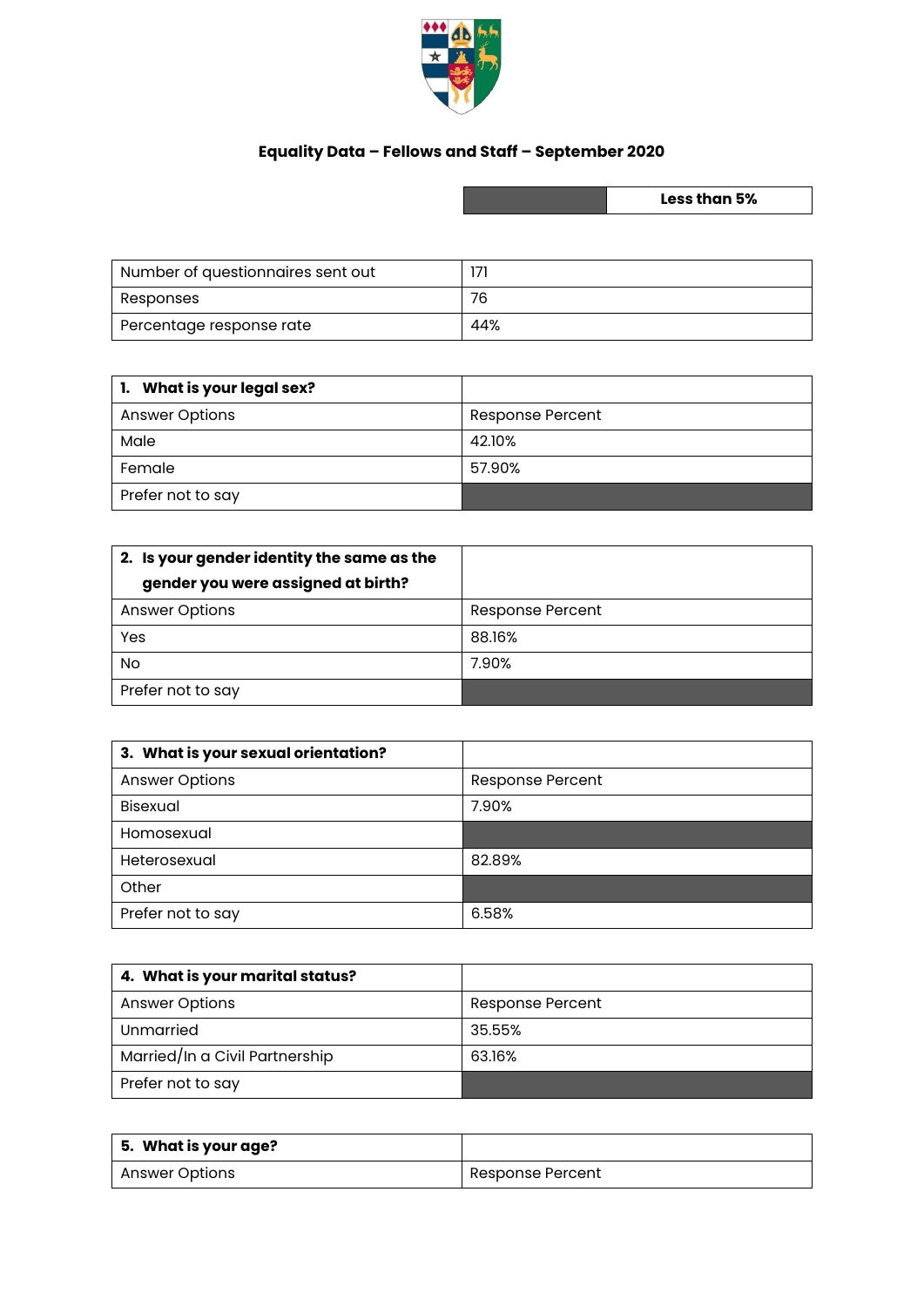

## **Equality Data – Fellows and Staff – September 2020**

**Less than 5%**

| Number of questionnaires sent out |     |
|-----------------------------------|-----|
| Responses                         | 76  |
| Percentage response rate          | 44% |

| <b>1.</b> What is your legal sex? |                  |
|-----------------------------------|------------------|
| <b>Answer Options</b>             | Response Percent |
| Male                              | 42.10%           |
| Female                            | 57.90%           |
| Prefer not to say                 |                  |

| 2. Is your gender identity the same as the |                  |
|--------------------------------------------|------------------|
| gender you were assigned at birth?         |                  |
| <b>Answer Options</b>                      | Response Percent |
| Yes                                        | 88.16%           |
| No                                         | 7.90%            |
| Prefer not to say                          |                  |

| 3. What is your sexual orientation? |                         |
|-------------------------------------|-------------------------|
| <b>Answer Options</b>               | <b>Response Percent</b> |
| Bisexual                            | 7.90%                   |
| Homosexual                          |                         |
| Heterosexual                        | 82.89%                  |
| Other                               |                         |
| Prefer not to say                   | 6.58%                   |

| 4. What is your marital status? |                  |
|---------------------------------|------------------|
| <b>Answer Options</b>           | Response Percent |
| Unmarried                       | 35.55%           |
| Married/In a Civil Partnership  | 63.16%           |
| Prefer not to say               |                  |

| 5. What is your age? |                  |
|----------------------|------------------|
| Answer Options       | Response Percent |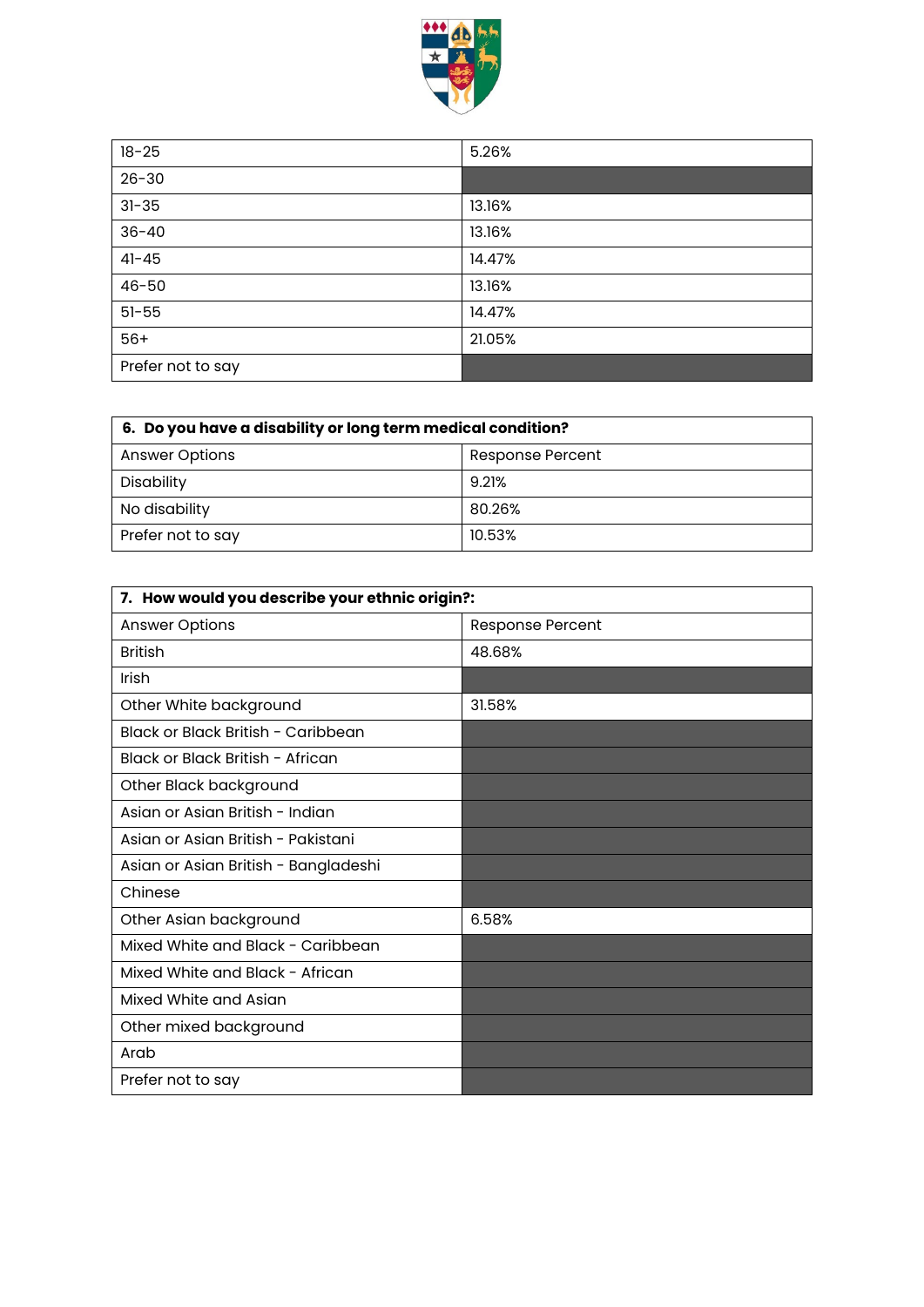

| $18 - 25$         | 5.26%  |
|-------------------|--------|
| $26 - 30$         |        |
| $31 - 35$         | 13.16% |
| $36 - 40$         | 13.16% |
| $41 - 45$         | 14.47% |
| $46 - 50$         | 13.16% |
| $51 - 55$         | 14.47% |
| $56+$             | 21.05% |
| Prefer not to say |        |

| 6. Do you have a disability or long term medical condition? |                  |
|-------------------------------------------------------------|------------------|
| <b>Answer Options</b>                                       | Response Percent |
| Disability                                                  | 9.21%            |
| No disability                                               | 80.26%           |
| Prefer not to say                                           | 10.53%           |

| 7. How would you describe your ethnic origin?: |                         |
|------------------------------------------------|-------------------------|
| <b>Answer Options</b>                          | <b>Response Percent</b> |
| <b>British</b>                                 | 48.68%                  |
| Irish                                          |                         |
| Other White background                         | 31.58%                  |
| Black or Black British - Caribbean             |                         |
| Black or Black British - African               |                         |
| Other Black background                         |                         |
| Asian or Asian British - Indian                |                         |
| Asian or Asian British - Pakistani             |                         |
| Asian or Asian British - Bangladeshi           |                         |
| Chinese                                        |                         |
| Other Asian background                         | 6.58%                   |
| Mixed White and Black - Caribbean              |                         |
| Mixed White and Black - African                |                         |
| Mixed White and Asian                          |                         |
| Other mixed background                         |                         |
| Arab                                           |                         |
| Prefer not to say                              |                         |